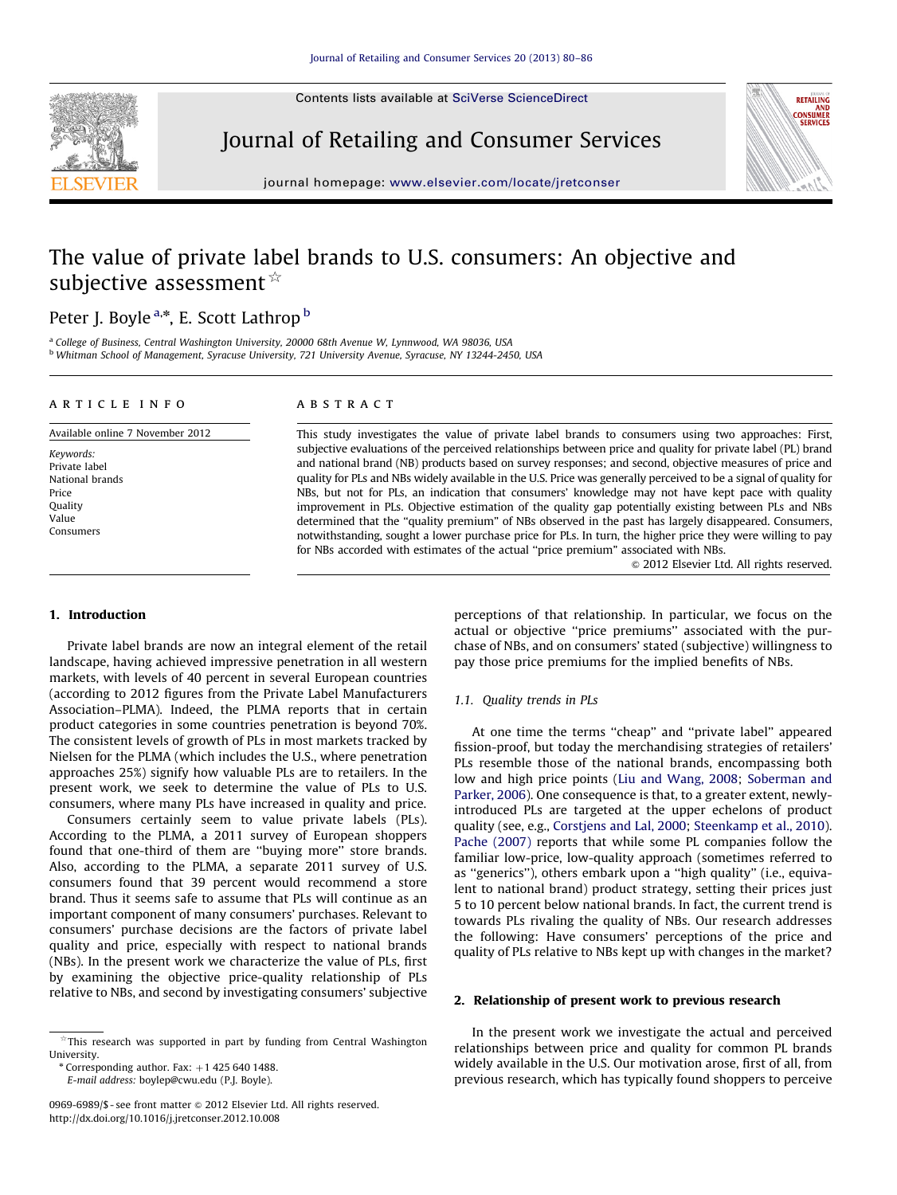Contents lists available at [SciVerse ScienceDirect](www.elsevier.com/locate/jretconser)



Journal of Retailing and Consumer Services



journal homepage: <www.elsevier.com/locate/jretconser>

## The value of private label brands to U.S. consumers: An objective and subjective assessment  $\overrightarrow{r}$

### Peter J. Boyle <sup>a,\*</sup>, E. Scott Lathrop <sup>b</sup>

<sup>a</sup> College of Business, Central Washington University, 20000 68th Avenue W, Lynnwood, WA 98036, USA <sup>b</sup> Whitman School of Management, Syracuse University, 721 University Avenue, Syracuse, NY 13244-2450, USA

#### article info

Available online 7 November 2012 Keywords: Private label National brands Price **Quality** Value Consumers

#### **ABSTRACT**

This study investigates the value of private label brands to consumers using two approaches: First, subjective evaluations of the perceived relationships between price and quality for private label (PL) brand and national brand (NB) products based on survey responses; and second, objective measures of price and quality for PLs and NBs widely available in the U.S. Price was generally perceived to be a signal of quality for NBs, but not for PLs, an indication that consumers' knowledge may not have kept pace with quality improvement in PLs. Objective estimation of the quality gap potentially existing between PLs and NBs determined that the "quality premium" of NBs observed in the past has largely disappeared. Consumers, notwithstanding, sought a lower purchase price for PLs. In turn, the higher price they were willing to pay for NBs accorded with estimates of the actual ''price premium'' associated with NBs.

 $\odot$  2012 Elsevier Ltd. All rights reserved.

#### 1. Introduction

Private label brands are now an integral element of the retail landscape, having achieved impressive penetration in all western markets, with levels of 40 percent in several European countries (according to 2012 figures from the Private Label Manufacturers Association–PLMA). Indeed, the PLMA reports that in certain product categories in some countries penetration is beyond 70%. The consistent levels of growth of PLs in most markets tracked by Nielsen for the PLMA (which includes the U.S., where penetration approaches 25%) signify how valuable PLs are to retailers. In the present work, we seek to determine the value of PLs to U.S. consumers, where many PLs have increased in quality and price.

Consumers certainly seem to value private labels (PLs). According to the PLMA, a 2011 survey of European shoppers found that one-third of them are ''buying more'' store brands. Also, according to the PLMA, a separate 2011 survey of U.S. consumers found that 39 percent would recommend a store brand. Thus it seems safe to assume that PLs will continue as an important component of many consumers' purchases. Relevant to consumers' purchase decisions are the factors of private label quality and price, especially with respect to national brands (NBs). In the present work we characterize the value of PLs, first by examining the objective price-quality relationship of PLs relative to NBs, and second by investigating consumers' subjective

E-mail address: [boylep@cwu.edu \(P.J. Boyle\)](mailto:boylep@cwu.edu).

perceptions of that relationship. In particular, we focus on the actual or objective ''price premiums'' associated with the purchase of NBs, and on consumers' stated (subjective) willingness to pay those price premiums for the implied benefits of NBs.

#### 1.1. Quality trends in PLs

At one time the terms ''cheap'' and ''private label'' appeared fission-proof, but today the merchandising strategies of retailers' PLs resemble those of the national brands, encompassing both low and high price points ([Liu and Wang, 2008](#page--1-0); [Soberman and](#page--1-0) [Parker, 2006](#page--1-0)). One consequence is that, to a greater extent, newlyintroduced PLs are targeted at the upper echelons of product quality (see, e.g., [Corstjens and Lal, 2000;](#page--1-0) [Steenkamp et al., 2010\)](#page--1-0). [Pache \(2007\)](#page--1-0) reports that while some PL companies follow the familiar low-price, low-quality approach (sometimes referred to as ''generics''), others embark upon a ''high quality'' (i.e., equivalent to national brand) product strategy, setting their prices just 5 to 10 percent below national brands. In fact, the current trend is towards PLs rivaling the quality of NBs. Our research addresses the following: Have consumers' perceptions of the price and quality of PLs relative to NBs kept up with changes in the market?

#### 2. Relationship of present work to previous research

In the present work we investigate the actual and perceived relationships between price and quality for common PL brands widely available in the U.S. Our motivation arose, first of all, from previous research, which has typically found shoppers to perceive

 $*$ This research was supported in part by funding from Central Washington University.

 $*$  Corresponding author. Fax:  $+1$  425 640 1488.

<sup>0969-6989/\$ -</sup> see front matter @ 2012 Elsevier Ltd. All rights reserved. [http://dx.doi.org/10.1016/j.jretconser.2012.10.008](dx.doi.org/10.1016/j.jretconser.2012.10.008)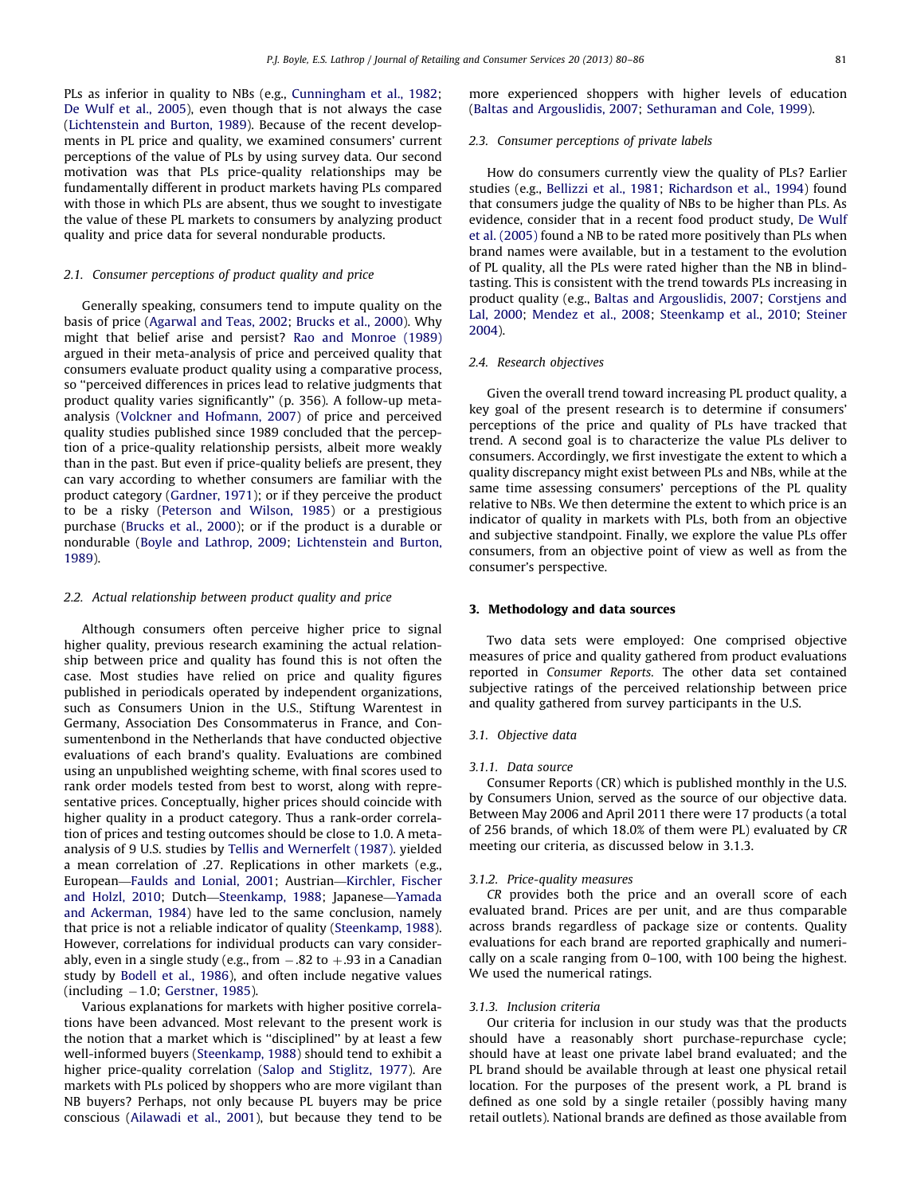PLs as inferior in quality to NBs (e.g., [Cunningham et al., 1982;](#page--1-0) [De Wulf et al., 2005\)](#page--1-0), even though that is not always the case ([Lichtenstein and Burton, 1989\)](#page--1-0). Because of the recent developments in PL price and quality, we examined consumers' current perceptions of the value of PLs by using survey data. Our second motivation was that PLs price-quality relationships may be fundamentally different in product markets having PLs compared with those in which PLs are absent, thus we sought to investigate the value of these PL markets to consumers by analyzing product quality and price data for several nondurable products.

#### 2.1. Consumer perceptions of product quality and price

Generally speaking, consumers tend to impute quality on the basis of price [\(Agarwal and Teas, 2002](#page--1-0); [Brucks et al., 2000\)](#page--1-0). Why might that belief arise and persist? [Rao and Monroe \(1989\)](#page--1-0) argued in their meta-analysis of price and perceived quality that consumers evaluate product quality using a comparative process, so ''perceived differences in prices lead to relative judgments that product quality varies significantly'' (p. 356). A follow-up metaanalysis [\(Volckner and Hofmann, 2007\)](#page--1-0) of price and perceived quality studies published since 1989 concluded that the perception of a price-quality relationship persists, albeit more weakly than in the past. But even if price-quality beliefs are present, they can vary according to whether consumers are familiar with the product category [\(Gardner, 1971](#page--1-0)); or if they perceive the product to be a risky [\(Peterson and Wilson, 1985\)](#page--1-0) or a prestigious purchase ([Brucks et al., 2000\)](#page--1-0); or if the product is a durable or nondurable [\(Boyle and Lathrop, 2009](#page--1-0); [Lichtenstein and Burton,](#page--1-0) [1989\)](#page--1-0).

#### 2.2. Actual relationship between product quality and price

Although consumers often perceive higher price to signal higher quality, previous research examining the actual relationship between price and quality has found this is not often the case. Most studies have relied on price and quality figures published in periodicals operated by independent organizations, such as Consumers Union in the U.S., Stiftung Warentest in Germany, Association Des Consommaterus in France, and Consumentenbond in the Netherlands that have conducted objective evaluations of each brand's quality. Evaluations are combined using an unpublished weighting scheme, with final scores used to rank order models tested from best to worst, along with representative prices. Conceptually, higher prices should coincide with higher quality in a product category. Thus a rank-order correlation of prices and testing outcomes should be close to 1.0. A metaanalysis of 9 U.S. studies by [Tellis and Wernerfelt \(1987\)](#page--1-0). yielded a mean correlation of .27. Replications in other markets (e.g., European—[Faulds and Lonial, 2001](#page--1-0); Austrian—[Kirchler, Fischer](#page--1-0) [and Holzl, 2010;](#page--1-0) Dutch—[Steenkamp, 1988;](#page--1-0) Japanese—[Yamada](#page--1-0) [and Ackerman, 1984\)](#page--1-0) have led to the same conclusion, namely that price is not a reliable indicator of quality [\(Steenkamp, 1988\)](#page--1-0). However, correlations for individual products can vary considerably, even in a single study (e.g., from –.82 to +.93 in a Canadian study by [Bodell et al., 1986](#page--1-0)), and often include negative values (including -1.0; [Gerstner, 1985\)](#page--1-0).

Various explanations for markets with higher positive correlations have been advanced. Most relevant to the present work is the notion that a market which is ''disciplined'' by at least a few well-informed buyers ([Steenkamp, 1988](#page--1-0)) should tend to exhibit a higher price-quality correlation ([Salop and Stiglitz, 1977\)](#page--1-0). Are markets with PLs policed by shoppers who are more vigilant than NB buyers? Perhaps, not only because PL buyers may be price conscious ([Ailawadi et al., 2001\)](#page--1-0), but because they tend to be more experienced shoppers with higher levels of education ([Baltas and Argouslidis, 2007;](#page--1-0) [Sethuraman and Cole, 1999](#page--1-0)).

#### 2.3. Consumer perceptions of private labels

How do consumers currently view the quality of PLs? Earlier studies (e.g., [Bellizzi et al., 1981;](#page--1-0) [Richardson et al., 1994\)](#page--1-0) found that consumers judge the quality of NBs to be higher than PLs. As evidence, consider that in a recent food product study, [De Wulf](#page--1-0) [et al. \(2005\)](#page--1-0) found a NB to be rated more positively than PLs when brand names were available, but in a testament to the evolution of PL quality, all the PLs were rated higher than the NB in blindtasting. This is consistent with the trend towards PLs increasing in product quality (e.g., [Baltas and Argouslidis, 2007](#page--1-0); [Corstjens and](#page--1-0) [Lal, 2000](#page--1-0); [Mendez et al., 2008](#page--1-0); [Steenkamp et al., 2010](#page--1-0); [Steiner](#page--1-0) [2004\)](#page--1-0).

#### 2.4. Research objectives

Given the overall trend toward increasing PL product quality, a key goal of the present research is to determine if consumers' perceptions of the price and quality of PLs have tracked that trend. A second goal is to characterize the value PLs deliver to consumers. Accordingly, we first investigate the extent to which a quality discrepancy might exist between PLs and NBs, while at the same time assessing consumers' perceptions of the PL quality relative to NBs. We then determine the extent to which price is an indicator of quality in markets with PLs, both from an objective and subjective standpoint. Finally, we explore the value PLs offer consumers, from an objective point of view as well as from the consumer's perspective.

#### 3. Methodology and data sources

Two data sets were employed: One comprised objective measures of price and quality gathered from product evaluations reported in Consumer Reports. The other data set contained subjective ratings of the perceived relationship between price and quality gathered from survey participants in the U.S.

#### 3.1. Objective data

#### 3.1.1. Data source

Consumer Reports (CR) which is published monthly in the U.S. by Consumers Union, served as the source of our objective data. Between May 2006 and April 2011 there were 17 products (a total of 256 brands, of which 18.0% of them were PL) evaluated by CR meeting our criteria, as discussed below in 3.1.3.

#### 3.1.2. Price-quality measures

CR provides both the price and an overall score of each evaluated brand. Prices are per unit, and are thus comparable across brands regardless of package size or contents. Quality evaluations for each brand are reported graphically and numerically on a scale ranging from 0–100, with 100 being the highest. We used the numerical ratings.

#### 3.1.3. Inclusion criteria

Our criteria for inclusion in our study was that the products should have a reasonably short purchase-repurchase cycle; should have at least one private label brand evaluated; and the PL brand should be available through at least one physical retail location. For the purposes of the present work, a PL brand is defined as one sold by a single retailer (possibly having many retail outlets). National brands are defined as those available from